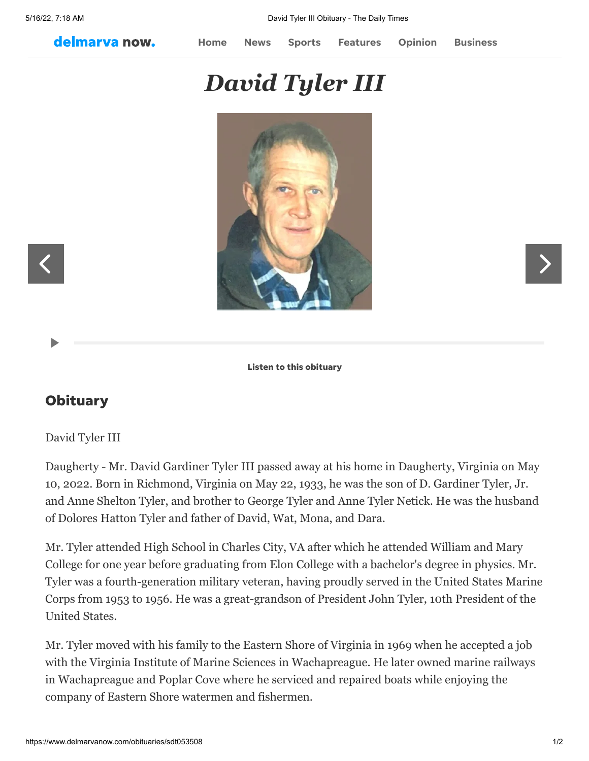delmarva now.

[Home](http://www.delmarvanow.com/) [News](https://www.delmarvanow.com/news/) [Sports](https://www.delmarvanow.com/sports/) [Features](https://www.delmarvanow.com/features/) [Opinion](https://www.delmarvanow.com/opinion/) [Business](https://www.delmarvanow.com/business/)

## *David Tyler III*



Listen to this obituary

## **Obituary**

## David Tyler III

Daugherty - Mr. David Gardiner Tyler III passed away at his home in Daugherty, Virginia on May 10, 2022. Born in Richmond, Virginia on May 22, 1933, he was the son of D. Gardiner Tyler, Jr. and Anne Shelton Tyler, and brother to George Tyler and Anne Tyler Netick. He was the husband of Dolores Hatton Tyler and father of David, Wat, Mona, and Dara.

Mr. Tyler attended High School in Charles City, VA after which he attended William and Mary College for one year before graduating from Elon College with a bachelor's degree in physics. Mr. Tyler was a fourth-generation military veteran, having proudly served in the United States Marine Corps from 1953 to 1956. He was a great-grandson of President John Tyler, 10th President of the United States.

Mr. Tyler moved with his family to the Eastern Shore of Virginia in 1969 when he accepted a job with the Virginia Institute of Marine Sciences in Wachapreague. He later owned marine railways in Wachapreague and Poplar Cove where he serviced and repaired boats while enjoying the company of Eastern Shore watermen and fishermen.